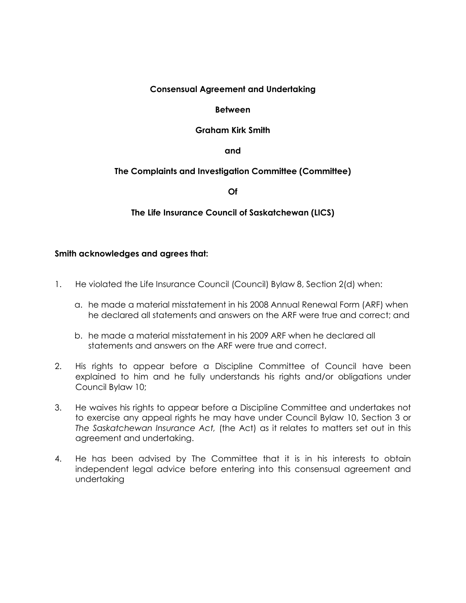## **Consensual Agreement and Undertaking**

## **Between**

## **Graham Kirk Smith**

**and**

# **The Complaints and Investigation Committee (Committee)**

**Of**

## **The Life Insurance Council of Saskatchewan (LICS)**

## **Smith acknowledges and agrees that:**

- 1. He violated the Life Insurance Council (Council) Bylaw 8, Section 2(d) when:
	- a. he made a material misstatement in his 2008 Annual Renewal Form (ARF) when he declared all statements and answers on the ARF were true and correct; and
	- b. he made a material misstatement in his 2009 ARF when he declared all statements and answers on the ARF were true and correct.
- 2. His rights to appear before a Discipline Committee of Council have been explained to him and he fully understands his rights and/or obligations under Council Bylaw 10;
- 3. He waives his rights to appear before a Discipline Committee and undertakes not to exercise any appeal rights he may have under Council Bylaw 10, Section 3 or *The Saskatchewan Insurance Act,* (the Act) as it relates to matters set out in this agreement and undertaking.
- 4. He has been advised by The Committee that it is in his interests to obtain independent legal advice before entering into this consensual agreement and undertaking